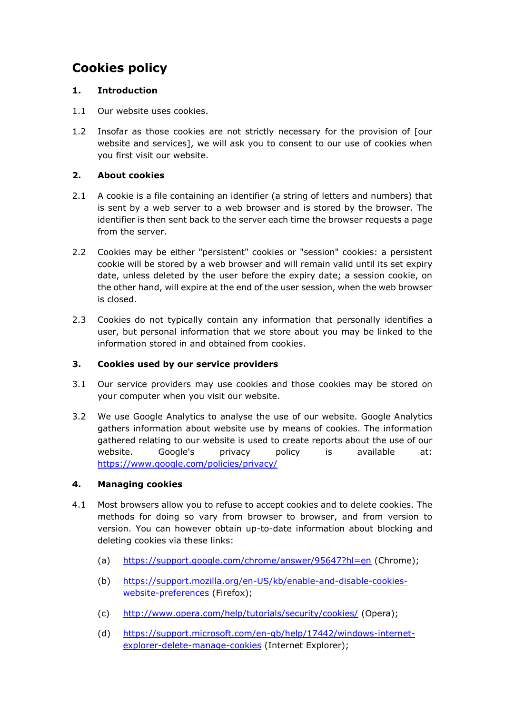# **Cookies policy**

## **1. Introduction**

- 1.1 Our website uses cookies.
- 1.2 Insofar as those cookies are not strictly necessary for the provision of [our website and services], we will ask you to consent to our use of cookies when you first visit our website.

## **2. About cookies**

- 2.1 A cookie is a file containing an identifier (a string of letters and numbers) that is sent by a web server to a web browser and is stored by the browser. The identifier is then sent back to the server each time the browser requests a page from the server.
- 2.2 Cookies may be either "persistent" cookies or "session" cookies: a persistent cookie will be stored by a web browser and will remain valid until its set expiry date, unless deleted by the user before the expiry date; a session cookie, on the other hand, will expire at the end of the user session, when the web browser is closed.
- 2.3 Cookies do not typically contain any information that personally identifies a user, but personal information that we store about you may be linked to the information stored in and obtained from cookies.

## **3. Cookies used by our service providers**

- 3.1 Our service providers may use cookies and those cookies may be stored on your computer when you visit our website.
- 3.2 We use Google Analytics to analyse the use of our website. Google Analytics gathers information about website use by means of cookies. The information gathered relating to our website is used to create reports about the use of our website. Google's privacy policy is available at: <https://www.google.com/policies/privacy/>

## **4. Managing cookies**

- 4.1 Most browsers allow you to refuse to accept cookies and to delete cookies. The methods for doing so vary from browser to browser, and from version to version. You can however obtain up-to-date information about blocking and deleting cookies via these links:
	- (a) <https://support.google.com/chrome/answer/95647?hl=en> (Chrome);
	- (b) [https://support.mozilla.org/en-US/kb/enable-and-disable-cookies](https://support.mozilla.org/en-US/kb/enable-and-disable-cookies-website-preferences)[website-preferences](https://support.mozilla.org/en-US/kb/enable-and-disable-cookies-website-preferences) (Firefox);
	- (c) <http://www.opera.com/help/tutorials/security/cookies/> (Opera);
	- (d) [https://support.microsoft.com/en-gb/help/17442/windows-internet](https://support.microsoft.com/en-gb/help/17442/windows-internet-explorer-delete-manage-cookies)[explorer-delete-manage-cookies](https://support.microsoft.com/en-gb/help/17442/windows-internet-explorer-delete-manage-cookies) (Internet Explorer);